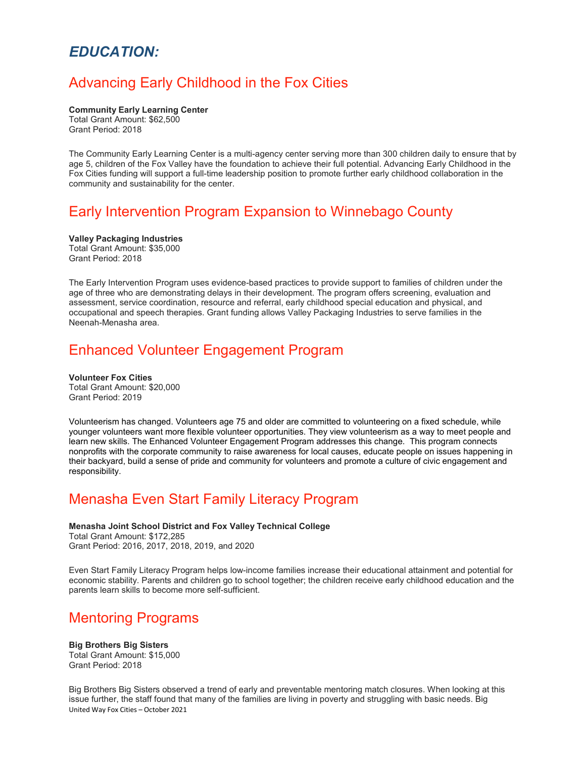### *EDUCATION:*

## Advancing Early Childhood in the Fox Cities

**Community Early Learning Center** Total Grant Amount: \$62,500

Grant Period: 2018

The Community Early Learning Center is a multi-agency center serving more than 300 children daily to ensure that by age 5, children of the Fox Valley have the foundation to achieve their full potential. Advancing Early Childhood in the Fox Cities funding will support a full-time leadership position to promote further early childhood collaboration in the community and sustainability for the center.

## Early Intervention Program Expansion to Winnebago County

**Valley Packaging Industries** Total Grant Amount: \$35,000 Grant Period: 2018

The Early Intervention Program uses evidence-based practices to provide support to families of children under the age of three who are demonstrating delays in their development. The program offers screening, evaluation and assessment, service coordination, resource and referral, early childhood special education and physical, and occupational and speech therapies. Grant funding allows Valley Packaging Industries to serve families in the Neenah-Menasha area.

### Enhanced Volunteer Engagement Program

**Volunteer Fox Cities** Total Grant Amount: \$20,000 Grant Period: 2019

Volunteerism has changed. Volunteers age 75 and older are committed to volunteering on a fixed schedule, while younger volunteers want more flexible volunteer opportunities. They view volunteerism as a way to meet people and learn new skills. The Enhanced Volunteer Engagement Program addresses this change. This program connects nonprofits with the corporate community to raise awareness for local causes, educate people on issues happening in their backyard, build a sense of pride and community for volunteers and promote a culture of civic engagement and responsibility.

## Menasha Even Start Family Literacy Program

### **Menasha Joint School District and Fox Valley Technical College**

Total Grant Amount: \$172,285 Grant Period: 2016, 2017, 2018, 2019, and 2020

Even Start Family Literacy Program helps low-income families increase their educational attainment and potential for economic stability. Parents and children go to school together; the children receive early childhood education and the parents learn skills to become more self-sufficient.

### Mentoring Programs

**Big Brothers Big Sisters** Total Grant Amount: \$15,000 Grant Period: 2018

United Way Fox Cities – October 2021 Big Brothers Big Sisters observed a trend of early and preventable mentoring match closures. When looking at this issue further, the staff found that many of the families are living in poverty and struggling with basic needs. Big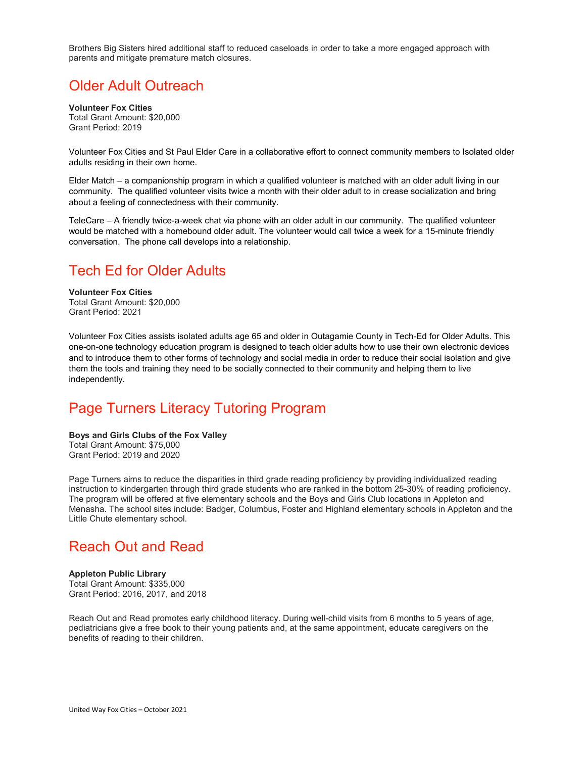Brothers Big Sisters hired additional staff to reduced caseloads in order to take a more engaged approach with parents and mitigate premature match closures.

### Older Adult Outreach

**Volunteer Fox Cities** Total Grant Amount: \$20,000 Grant Period: 2019

Volunteer Fox Cities and St Paul Elder Care in a collaborative effort to connect community members to Isolated older adults residing in their own home.

Elder Match – a companionship program in which a qualified volunteer is matched with an older adult living in our community. The qualified volunteer visits twice a month with their older adult to in crease socialization and bring about a feeling of connectedness with their community.

TeleCare – A friendly twice-a-week chat via phone with an older adult in our community. The qualified volunteer would be matched with a homebound older adult. The volunteer would call twice a week for a 15-minute friendly conversation. The phone call develops into a relationship.

### Tech Ed for Older Adults

**Volunteer Fox Cities** Total Grant Amount: \$20,000 Grant Period: 2021

Volunteer Fox Cities assists isolated adults age 65 and older in Outagamie County in Tech-Ed for Older Adults. This one-on-one technology education program is designed to teach older adults how to use their own electronic devices and to introduce them to other forms of technology and social media in order to reduce their social isolation and give them the tools and training they need to be socially connected to their community and helping them to live independently.

## Page Turners Literacy Tutoring Program

**Boys and Girls Clubs of the Fox Valley** Total Grant Amount: \$75,000 Grant Period: 2019 and 2020

Page Turners aims to reduce the disparities in third grade reading proficiency by providing individualized reading instruction to kindergarten through third grade students who are ranked in the bottom 25-30% of reading proficiency. The program will be offered at five elementary schools and the Boys and Girls Club locations in Appleton and Menasha. The school sites include: Badger, Columbus, Foster and Highland elementary schools in Appleton and the Little Chute elementary school.

### Reach Out and Read

### **Appleton Public Library**

Total Grant Amount: \$335,000 Grant Period: 2016, 2017, and 2018

Reach Out and Read promotes early childhood literacy. During well-child visits from 6 months to 5 years of age, pediatricians give a free book to their young patients and, at the same appointment, educate caregivers on the benefits of reading to their children.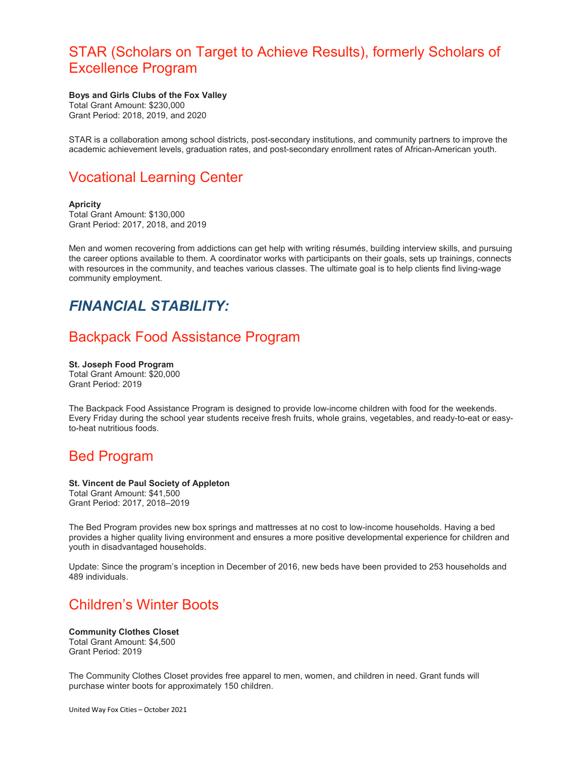### STAR (Scholars on Target to Achieve Results), formerly Scholars of Excellence Program

#### **Boys and Girls Clubs of the Fox Valley** Total Grant Amount: \$230,000

Grant Period: 2018, 2019, and 2020

STAR is a collaboration among school districts, post-secondary institutions, and community partners to improve the academic achievement levels, graduation rates, and post-secondary enrollment rates of African-American youth.

## Vocational Learning Center

#### **Apricity**

Total Grant Amount: \$130,000 Grant Period: 2017, 2018, and 2019

Men and women recovering from addictions can get help with writing résumés, building interview skills, and pursuing the career options available to them. A coordinator works with participants on their goals, sets up trainings, connects with resources in the community, and teaches various classes. The ultimate goal is to help clients find living-wage community employment.

# *FINANCIAL STABILITY:*

## Backpack Food Assistance Program

#### **St. Joseph Food Program** Total Grant Amount: \$20,000 Grant Period: 2019

The Backpack Food Assistance Program is designed to provide low-income children with food for the weekends. Every Friday during the school year students receive fresh fruits, whole grains, vegetables, and ready-to-eat or easyto-heat nutritious foods.

### Bed Program

### **St. Vincent de Paul Society of Appleton**

Total Grant Amount: \$41,500 Grant Period: 2017, 2018–2019

The Bed Program provides new box springs and mattresses at no cost to low-income households. Having a bed provides a higher quality living environment and ensures a more positive developmental experience for children and youth in disadvantaged households.

Update: Since the program's inception in December of 2016, new beds have been provided to 253 households and 489 individuals.

# Children's Winter Boots

**Community Clothes Closet** Total Grant Amount: \$4,500 Grant Period: 2019

The Community Clothes Closet provides free apparel to men, women, and children in need. Grant funds will purchase winter boots for approximately 150 children.

United Way Fox Cities – October 2021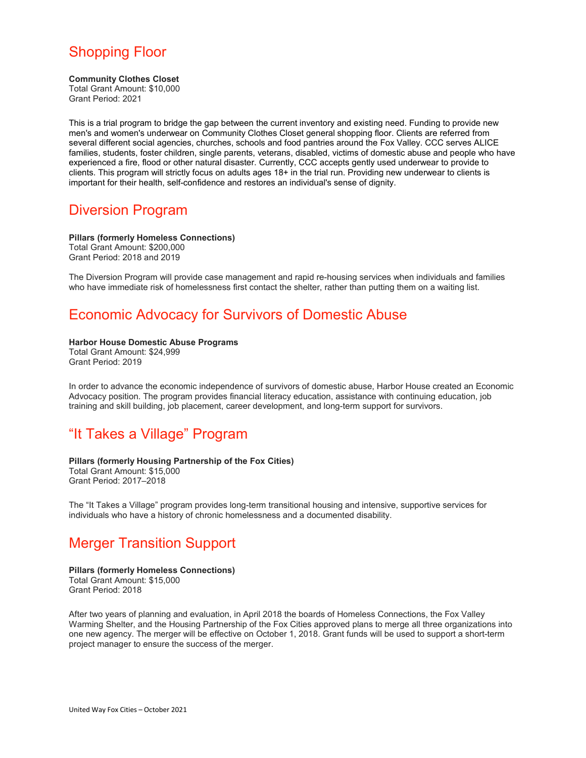# Shopping Floor

#### **Community Clothes Closet**

Total Grant Amount: \$10,000 Grant Period: 2021

This is a trial program to bridge the gap between the current inventory and existing need. Funding to provide new men's and women's underwear on Community Clothes Closet general shopping floor. Clients are referred from several different social agencies, churches, schools and food pantries around the Fox Valley. CCC serves ALICE families, students, foster children, single parents, veterans, disabled, victims of domestic abuse and people who have experienced a fire, flood or other natural disaster. Currently, CCC accepts gently used underwear to provide to clients. This program will strictly focus on adults ages 18+ in the trial run. Providing new underwear to clients is important for their health, self-confidence and restores an individual's sense of dignity.

### Diversion Program

**Pillars (formerly Homeless Connections)** Total Grant Amount: \$200,000 Grant Period: 2018 and 2019

The Diversion Program will provide case management and rapid re-housing services when individuals and families who have immediate risk of homelessness first contact the shelter, rather than putting them on a waiting list.

# Economic Advocacy for Survivors of Domestic Abuse

#### **Harbor House Domestic Abuse Programs**

Total Grant Amount: \$24,999 Grant Period: 2019

In order to advance the economic independence of survivors of domestic abuse, Harbor House created an Economic Advocacy position. The program provides financial literacy education, assistance with continuing education, job training and skill building, job placement, career development, and long-term support for survivors.

# "It Takes a Village" Program

### **Pillars (formerly Housing Partnership of the Fox Cities)**

Total Grant Amount: \$15,000 Grant Period: 2017–2018

The "It Takes a Village" program provides long-term transitional housing and intensive, supportive services for individuals who have a history of chronic homelessness and a documented disability.

## Merger Transition Support

### **Pillars (formerly Homeless Connections)**

Total Grant Amount: \$15,000 Grant Period: 2018

After two years of planning and evaluation, in April 2018 the boards of Homeless Connections, the Fox Valley Warming Shelter, and the Housing Partnership of the Fox Cities approved plans to merge all three organizations into one new agency. The merger will be effective on October 1, 2018. Grant funds will be used to support a short-term project manager to ensure the success of the merger.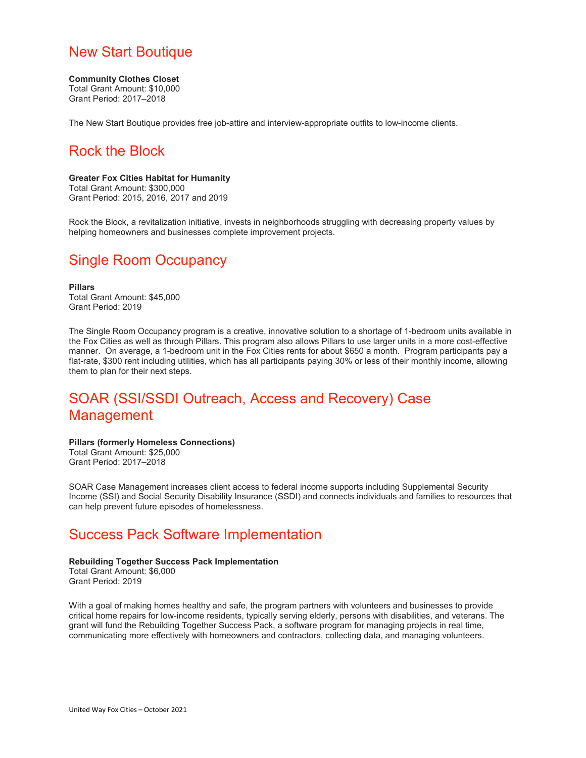### New Start Boutique

#### **Community Clothes Closet**

Total Grant Amount: \$10,000 Grant Period: 2017–2018

The New Start Boutique provides free job-attire and interview-appropriate outfits to low-income clients.

# Rock the Block

### **Greater Fox Cities Habitat for Humanity**

Total Grant Amount: \$300,000 Grant Period: 2015, 2016, 2017 and 2019

Rock the Block, a revitalization initiative, invests in neighborhoods struggling with decreasing property values by helping homeowners and businesses complete improvement projects.

## Single Room Occupancy

**Pillars** Total Grant Amount: \$45,000 Grant Period: 2019

The Single Room Occupancy program is a creative, innovative solution to a shortage of 1-bedroom units available in the Fox Cities as well as through Pillars. This program also allows Pillars to use larger units in a more cost-effective manner. On average, a 1-bedroom unit in the Fox Cities rents for about \$650 a month. Program participants pay a flat-rate, \$300 rent including utilities, which has all participants paying 30% or less of their monthly income, allowing them to plan for their next steps.

# SOAR (SSI/SSDI Outreach, Access and Recovery) Case Management

### **Pillars (formerly Homeless Connections)**

Total Grant Amount: \$25,000 Grant Period: 2017–2018

SOAR Case Management increases client access to federal income supports including Supplemental Security Income (SSI) and Social Security Disability Insurance (SSDI) and connects individuals and families to resources that can help prevent future episodes of homelessness.

## Success Pack Software Implementation

#### **Rebuilding Together Success Pack Implementation** Total Grant Amount: \$6,000 Grant Period: 2019

With a goal of making homes healthy and safe, the program partners with volunteers and businesses to provide critical home repairs for low-income residents, typically serving elderly, persons with disabilities, and veterans. The grant will fund the Rebuilding Together Success Pack, a software program for managing projects in real time, communicating more effectively with homeowners and contractors, collecting data, and managing volunteers.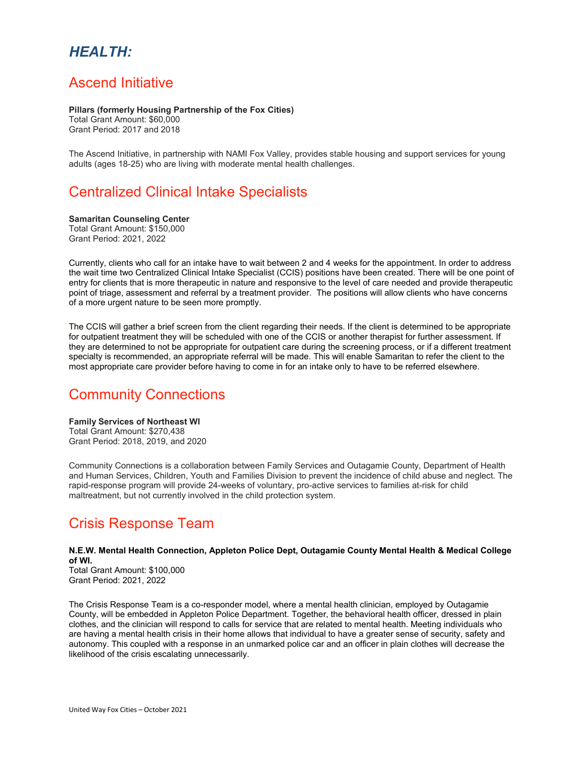# *HEALTH:*

### Ascend Initiative

#### **Pillars (formerly Housing Partnership of the Fox Cities)**

Total Grant Amount: \$60,000 Grant Period: 2017 and 2018

The Ascend Initiative, in partnership with NAMI Fox Valley, provides stable housing and support services for young adults (ages 18-25) who are living with moderate mental health challenges.

## Centralized Clinical Intake Specialists

#### **Samaritan Counseling Center**

Total Grant Amount: \$150,000 Grant Period: 2021, 2022

Currently, clients who call for an intake have to wait between 2 and 4 weeks for the appointment. In order to address the wait time two Centralized Clinical Intake Specialist (CCIS) positions have been created. There will be one point of entry for clients that is more therapeutic in nature and responsive to the level of care needed and provide therapeutic point of triage, assessment and referral by a treatment provider. The positions will allow clients who have concerns of a more urgent nature to be seen more promptly.

The CCIS will gather a brief screen from the client regarding their needs. If the client is determined to be appropriate for outpatient treatment they will be scheduled with one of the CCIS or another therapist for further assessment. If they are determined to not be appropriate for outpatient care during the screening process, or if a different treatment specialty is recommended, an appropriate referral will be made. This will enable Samaritan to refer the client to the most appropriate care provider before having to come in for an intake only to have to be referred elsewhere.

## Community Connections

#### **Family Services of Northeast WI** Total Grant Amount: \$270,438 Grant Period: 2018, 2019, and 2020

Community Connections is a collaboration between Family Services and Outagamie County, Department of Health and Human Services, Children, Youth and Families Division to prevent the incidence of child abuse and neglect. The rapid-response program will provide 24-weeks of voluntary, pro-active services to families at-risk for child maltreatment, but not currently involved in the child protection system.

## Crisis Response Team

### **N.E.W. Mental Health Connection, Appleton Police Dept, Outagamie County Mental Health & Medical College of WI.**

Total Grant Amount: \$100,000 Grant Period: 2021, 2022

The Crisis Response Team is a co-responder model, where a mental health clinician, employed by Outagamie County, will be embedded in Appleton Police Department. Together, the behavioral health officer, dressed in plain clothes, and the clinician will respond to calls for service that are related to mental health. Meeting individuals who are having a mental health crisis in their home allows that individual to have a greater sense of security, safety and autonomy. This coupled with a response in an unmarked police car and an officer in plain clothes will decrease the likelihood of the crisis escalating unnecessarily.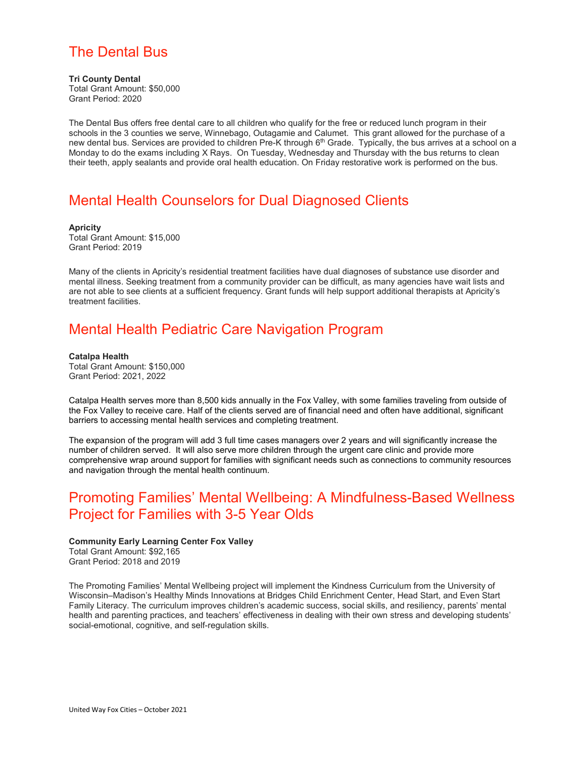# The Dental Bus

**Tri County Dental** Total Grant Amount: \$50,000 Grant Period: 2020

The Dental Bus offers free dental care to all children who qualify for the free or reduced lunch program in their schools in the 3 counties we serve, Winnebago, Outagamie and Calumet. This grant allowed for the purchase of a new dental bus. Services are provided to children Pre-K through 6<sup>th</sup> Grade. Typically, the bus arrives at a school on a Monday to do the exams including X Rays. On Tuesday, Wednesday and Thursday with the bus returns to clean their teeth, apply sealants and provide oral health education. On Friday restorative work is performed on the bus.

# Mental Health Counselors for Dual Diagnosed Clients

#### **Apricity**

Total Grant Amount: \$15,000 Grant Period: 2019

Many of the clients in Apricity's residential treatment facilities have dual diagnoses of substance use disorder and mental illness. Seeking treatment from a community provider can be difficult, as many agencies have wait lists and are not able to see clients at a sufficient frequency. Grant funds will help support additional therapists at Apricity's treatment facilities.

# Mental Health Pediatric Care Navigation Program

**Catalpa Health** Total Grant Amount: \$150,000 Grant Period: 2021, 2022

Catalpa Health serves more than 8,500 kids annually in the Fox Valley, with some families traveling from outside of the Fox Valley to receive care. Half of the clients served are of financial need and often have additional, significant barriers to accessing mental health services and completing treatment.

The expansion of the program will add 3 full time cases managers over 2 years and will significantly increase the number of children served. It will also serve more children through the urgent care clinic and provide more comprehensive wrap around support for families with significant needs such as connections to community resources and navigation through the mental health continuum.

# Promoting Families' Mental Wellbeing: A Mindfulness-Based Wellness Project for Families with 3-5 Year Olds

**Community Early Learning Center Fox Valley**

Total Grant Amount: \$92,165 Grant Period: 2018 and 2019

The Promoting Families' Mental Wellbeing project will implement the Kindness Curriculum from the University of Wisconsin–Madison's Healthy Minds Innovations at Bridges Child Enrichment Center, Head Start, and Even Start Family Literacy. The curriculum improves children's academic success, social skills, and resiliency, parents' mental health and parenting practices, and teachers' effectiveness in dealing with their own stress and developing students' social-emotional, cognitive, and self-regulation skills.